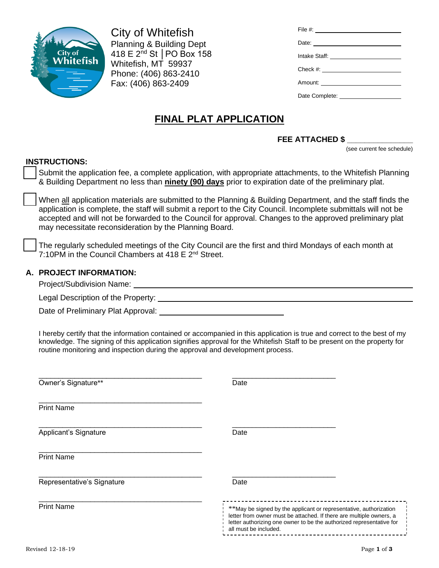

City of Whitefish Planning & Building Dept 418 E 2nd St │PO Box 158 Whitefish, MT 59937 Phone: (406) 863-2410 Fax: (406) 863-2409

| Date: 2008                                        |
|---------------------------------------------------|
|                                                   |
|                                                   |
| Amount: <u>__________________________________</u> |
|                                                   |

# **FINAL PLAT APPLICATION**

### **FEE ATTACHED \$ \_\_\_\_\_\_\_\_\_\_\_\_\_\_\_**

(see current fee schedule)

### **INSTRUCTIONS:**

Submit the application fee, a complete application, with appropriate attachments, to the Whitefish Planning & Building Department no less than **ninety (90) days** prior to expiration date of the preliminary plat.

When all application materials are submitted to the Planning & Building Department, and the staff finds the application is complete, the staff will submit a report to the City Council. Incomplete submittals will not be accepted and will not be forwarded to the Council for approval. Changes to the approved preliminary plat may necessitate reconsideration by the Planning Board.

The regularly scheduled meetings of the City Council are the first and third Mondays of each month at 7:10PM in the Council Chambers at 418  $E 2<sup>nd</sup>$  Street.

### **A. PROJECT INFORMATION:**

Project/Subdivision Name:

Legal Description of the Property:

Date of Preliminary Plat Approval: \_\_\_\_\_\_\_\_\_\_

I hereby certify that the information contained or accompanied in this application is true and correct to the best of my knowledge. The signing of this application signifies approval for the Whitefish Staff to be present on the property for routine monitoring and inspection during the approval and development process.

| Owner's Signature**        | Date                                                                                                                                                                                                                                      |
|----------------------------|-------------------------------------------------------------------------------------------------------------------------------------------------------------------------------------------------------------------------------------------|
| <b>Print Name</b>          |                                                                                                                                                                                                                                           |
| Applicant's Signature      | Date                                                                                                                                                                                                                                      |
| <b>Print Name</b>          |                                                                                                                                                                                                                                           |
| Representative's Signature | Date                                                                                                                                                                                                                                      |
| <b>Print Name</b>          | **May be signed by the applicant or representative, authorization<br>letter from owner must be attached. If there are multiple owners, a<br>letter authorizing one owner to be the authorized representative for<br>all must be included. |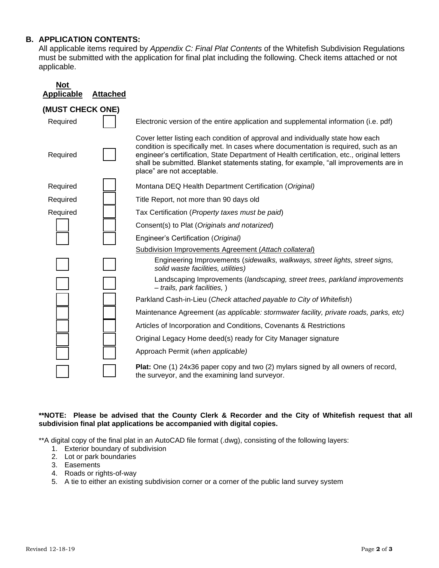## **B. APPLICATION CONTENTS:**

All applicable items required by *Appendix C: Final Plat Contents* of the Whitefish Subdivision Regulations must be submitted with the application for final plat including the following. Check items attached or not applicable.

| <b>Not</b><br><b>Applicable</b> | <b>Attached</b> |                                                                                                                                                                                                                                                                                                                                                                                             |  |  |
|---------------------------------|-----------------|---------------------------------------------------------------------------------------------------------------------------------------------------------------------------------------------------------------------------------------------------------------------------------------------------------------------------------------------------------------------------------------------|--|--|
| (MUST CHECK ONE)                |                 |                                                                                                                                                                                                                                                                                                                                                                                             |  |  |
| Required                        |                 | Electronic version of the entire application and supplemental information (i.e. pdf)                                                                                                                                                                                                                                                                                                        |  |  |
| Required                        |                 | Cover letter listing each condition of approval and individually state how each<br>condition is specifically met. In cases where documentation is required, such as an<br>engineer's certification, State Department of Health certification, etc., original letters<br>shall be submitted. Blanket statements stating, for example, "all improvements are in<br>place" are not acceptable. |  |  |
| Required                        |                 | Montana DEQ Health Department Certification (Original)                                                                                                                                                                                                                                                                                                                                      |  |  |
| Required                        |                 | Title Report, not more than 90 days old                                                                                                                                                                                                                                                                                                                                                     |  |  |
| Required                        |                 | Tax Certification (Property taxes must be paid)                                                                                                                                                                                                                                                                                                                                             |  |  |
|                                 |                 | Consent(s) to Plat (Originals and notarized)                                                                                                                                                                                                                                                                                                                                                |  |  |
|                                 |                 | Engineer's Certification (Original)                                                                                                                                                                                                                                                                                                                                                         |  |  |
|                                 |                 | Subdivision Improvements Agreement (Attach collateral)                                                                                                                                                                                                                                                                                                                                      |  |  |
|                                 |                 | Engineering Improvements (sidewalks, walkways, street lights, street signs,<br>solid waste facilities, utilities)                                                                                                                                                                                                                                                                           |  |  |
|                                 |                 | Landscaping Improvements (landscaping, street trees, parkland improvements<br>- trails, park facilities, )                                                                                                                                                                                                                                                                                  |  |  |
|                                 |                 | Parkland Cash-in-Lieu (Check attached payable to City of Whitefish)                                                                                                                                                                                                                                                                                                                         |  |  |
|                                 |                 | Maintenance Agreement (as applicable: stormwater facility, private roads, parks, etc)                                                                                                                                                                                                                                                                                                       |  |  |
|                                 |                 | Articles of Incorporation and Conditions, Covenants & Restrictions                                                                                                                                                                                                                                                                                                                          |  |  |
|                                 |                 | Original Legacy Home deed(s) ready for City Manager signature                                                                                                                                                                                                                                                                                                                               |  |  |
|                                 |                 | Approach Permit (when applicable)                                                                                                                                                                                                                                                                                                                                                           |  |  |
|                                 |                 | <b>Plat:</b> One (1) 24x36 paper copy and two (2) mylars signed by all owners of record,<br>the surveyor, and the examining land surveyor.                                                                                                                                                                                                                                                  |  |  |

#### **\*\*NOTE: Please be advised that the County Clerk & Recorder and the City of Whitefish request that all subdivision final plat applications be accompanied with digital copies.**

\*\*A digital copy of the final plat in an AutoCAD file format (.dwg), consisting of the following layers:

- 1. Exterior boundary of subdivision
- 2. Lot or park boundaries
- 3. Easements
- 4. Roads or rights-of-way
- 5. A tie to either an existing subdivision corner or a corner of the public land survey system